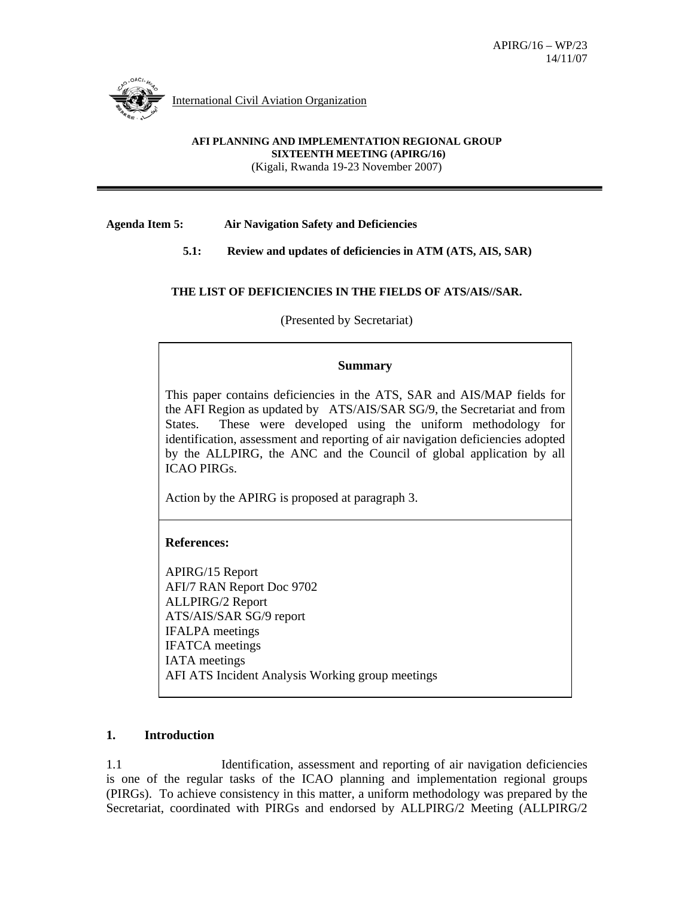

International Civil Aviation Organization

#### **AFI PLANNING AND IMPLEMENTATION REGIONAL GROUP SIXTEENTH MEETING (APIRG/16)**

(Kigali, Rwanda 19-23 November 2007)

**Agenda Item 5: Air Navigation Safety and Deficiencies** 

 **5.1: Review and updates of deficiencies in ATM (ATS, AIS, SAR)** 

### **THE LIST OF DEFICIENCIES IN THE FIELDS OF ATS/AIS//SAR.**

(Presented by Secretariat)

### **Summary**

This paper contains deficiencies in the ATS, SAR and AIS/MAP fields for the AFI Region as updated by ATS/AIS/SAR SG/9, the Secretariat and from States. These were developed using the uniform methodology for identification, assessment and reporting of air navigation deficiencies adopted by the ALLPIRG, the ANC and the Council of global application by all ICAO PIRGs.

Action by the APIRG is proposed at paragraph 3.

## **References:**

APIRG/15 Report AFI/7 RAN Report Doc 9702 ALLPIRG/2 Report ATS/AIS/SAR SG/9 report IFALPA meetings IFATCA meetings IATA meetings AFI ATS Incident Analysis Working group meetings

## **1. Introduction**

1.1 Identification, assessment and reporting of air navigation deficiencies is one of the regular tasks of the ICAO planning and implementation regional groups (PIRGs). To achieve consistency in this matter, a uniform methodology was prepared by the Secretariat, coordinated with PIRGs and endorsed by ALLPIRG/2 Meeting (ALLPIRG/2